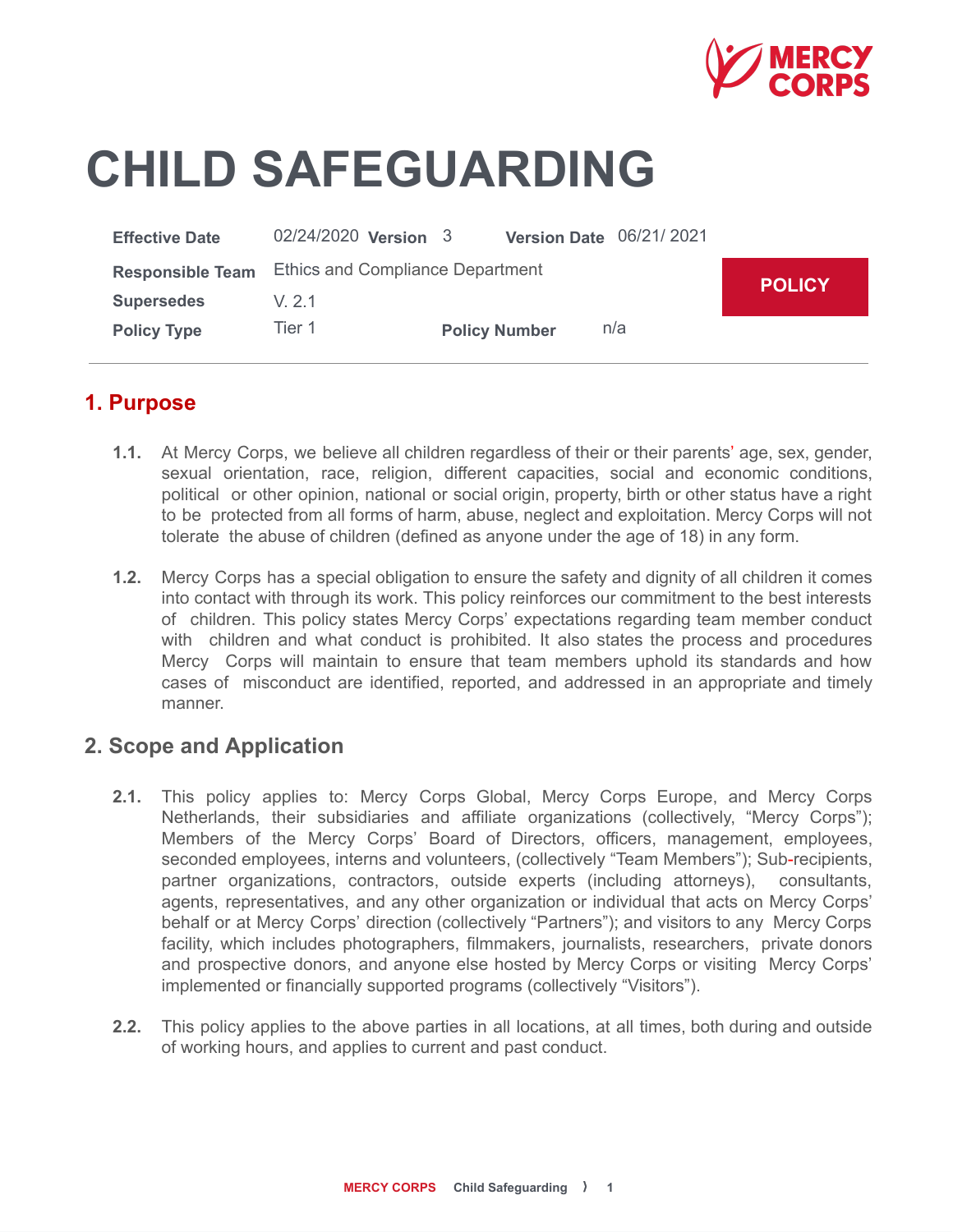

# **CHILD SAFEGUARDING**

| <b>Effective Date</b>   | 02/24/2020 <b>Version</b> 3             |                      | Version Date 06/21/2021 |               |
|-------------------------|-----------------------------------------|----------------------|-------------------------|---------------|
| <b>Responsible Team</b> | <b>Ethics and Compliance Department</b> |                      |                         | <b>POLICY</b> |
| <b>Supersedes</b>       | V 21                                    |                      |                         |               |
| <b>Policy Type</b>      | Tier 1                                  | <b>Policy Number</b> | n/a                     |               |

## **1. Purpose**

- **1.1.** At Mercy Corps, we believe all children regardless of their or their parents' age, sex, gender, sexual orientation, race, religion, different capacities, social and economic conditions, political or other opinion, national or social origin, property, birth or other status have a right to be protected from all forms of harm, abuse, neglect and exploitation. Mercy Corps will not tolerate the abuse of children (defined as anyone under the age of 18) in any form.
- **1.2.** Mercy Corps has a special obligation to ensure the safety and dignity of all children it comes into contact with through its work. This policy reinforces our commitment to the best interests of children. This policy states Mercy Corps' expectations regarding team member conduct with children and what conduct is prohibited. It also states the process and procedures Mercy Corps will maintain to ensure that team members uphold its standards and how cases of misconduct are identified, reported, and addressed in an appropriate and timely manner.

#### **2. Scope and Application**

- **2.1.** This policy applies to: Mercy Corps Global, Mercy Corps Europe, and Mercy Corps Netherlands, their subsidiaries and affiliate organizations (collectively, "Mercy Corps"); Members of the Mercy Corps' Board of Directors, officers, management, employees, seconded employees, interns and volunteers, (collectively "Team Members"); Sub-recipients, partner organizations, contractors, outside experts (including attorneys), consultants, agents, representatives, and any other organization or individual that acts on Mercy Corps' behalf or at Mercy Corps' direction (collectively "Partners"); and visitors to any Mercy Corps facility, which includes photographers, filmmakers, journalists, researchers, private donors and prospective donors, and anyone else hosted by Mercy Corps or visiting Mercy Corps' implemented or financially supported programs (collectively "Visitors").
- **2.2.** This policy applies to the above parties in all locations, at all times, both during and outside of working hours, and applies to current and past conduct.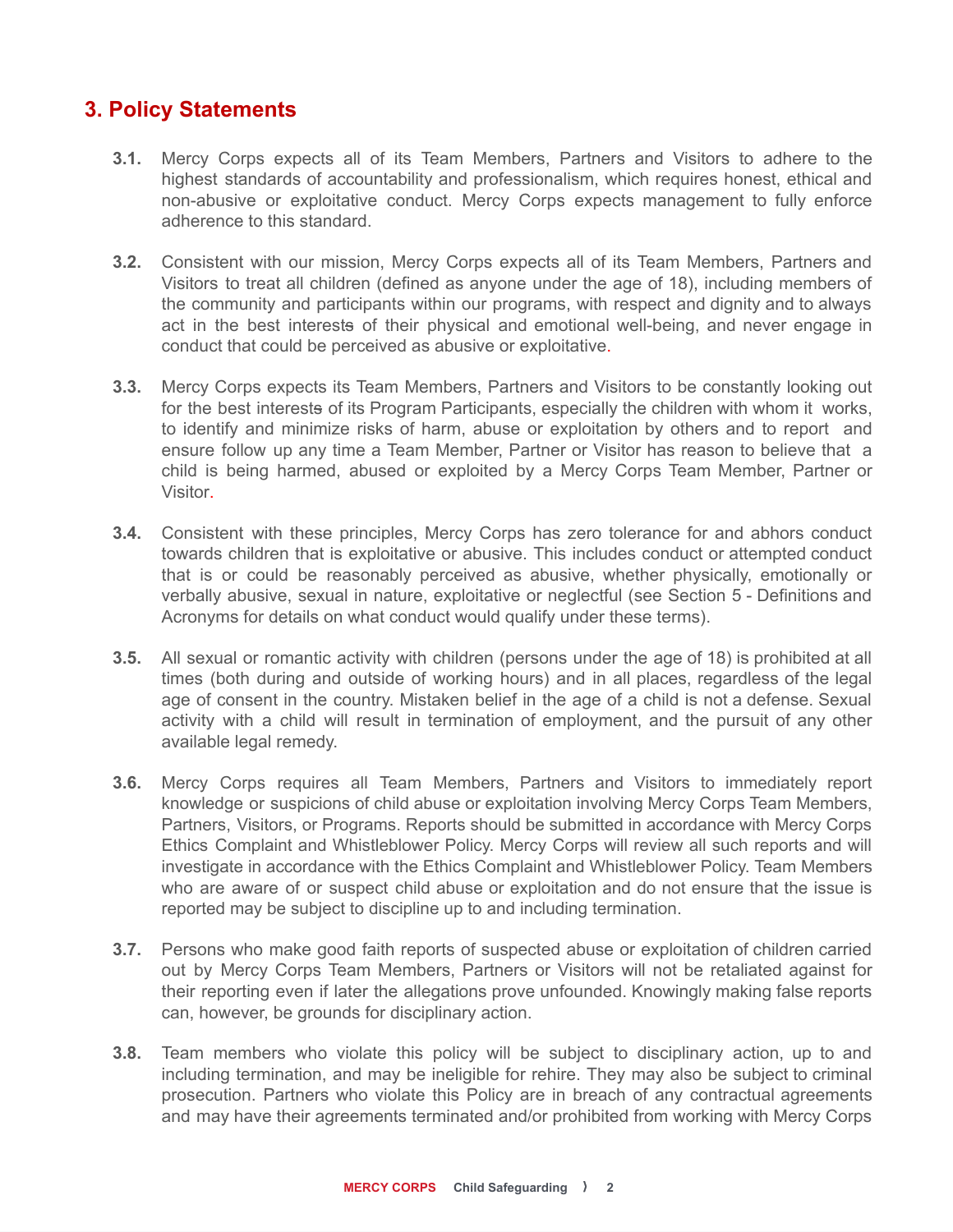# **3. Policy Statements**

- **3.1.** Mercy Corps expects all of its Team Members, Partners and Visitors to adhere to the highest standards of accountability and professionalism, which requires honest, ethical and non-abusive or exploitative conduct. Mercy Corps expects management to fully enforce adherence to this standard.
- **3.2.** Consistent with our mission, Mercy Corps expects all of its Team Members, Partners and Visitors to treat all children (defined as anyone under the age of 18), including members of the community and participants within our programs, with respect and dignity and to always act in the best interests of their physical and emotional well-being, and never engage in conduct that could be perceived as abusive or exploitative.
- **3.3.** Mercy Corps expects its Team Members, Partners and Visitors to be constantly looking out for the best interests of its Program Participants, especially the children with whom it works, to identify and minimize risks of harm, abuse or exploitation by others and to report and ensure follow up any time a Team Member, Partner or Visitor has reason to believe that a child is being harmed, abused or exploited by a Mercy Corps Team Member, Partner or Visitor.
- **3.4.** Consistent with these principles, Mercy Corps has zero tolerance for and abhors conduct towards children that is exploitative or abusive. This includes conduct or attempted conduct that is or could be reasonably perceived as abusive, whether physically, emotionally or verbally abusive, sexual in nature, exploitative or neglectful (see Section 5 - Definitions and Acronyms for details on what conduct would qualify under these terms).
- **3.5.** All sexual or romantic activity with children (persons under the age of 18) is prohibited at all times (both during and outside of working hours) and in all places, regardless of the legal age of consent in the country. Mistaken belief in the age of a child is not a defense. Sexual activity with a child will result in termination of employment, and the pursuit of any other available legal remedy.
- **3.6.** Mercy Corps requires all Team Members, Partners and Visitors to immediately report knowledge or suspicions of child abuse or exploitation involving Mercy Corps Team Members, Partners, Visitors, or Programs. Reports should be submitted in accordance with Mercy Corps Ethics Complaint and Whistleblower Policy. Mercy Corps will review all such reports and will investigate in accordance with the Ethics Complaint and Whistleblower Policy. Team Members who are aware of or suspect child abuse or exploitation and do not ensure that the issue is reported may be subject to discipline up to and including termination.
- **3.7.** Persons who make good faith reports of suspected abuse or exploitation of children carried out by Mercy Corps Team Members, Partners or Visitors will not be retaliated against for their reporting even if later the allegations prove unfounded. Knowingly making false reports can, however, be grounds for disciplinary action.
- **3.8.** Team members who violate this policy will be subject to disciplinary action, up to and including termination, and may be ineligible for rehire. They may also be subject to criminal prosecution. Partners who violate this Policy are in breach of any contractual agreements and may have their agreements terminated and/or prohibited from working with Mercy Corps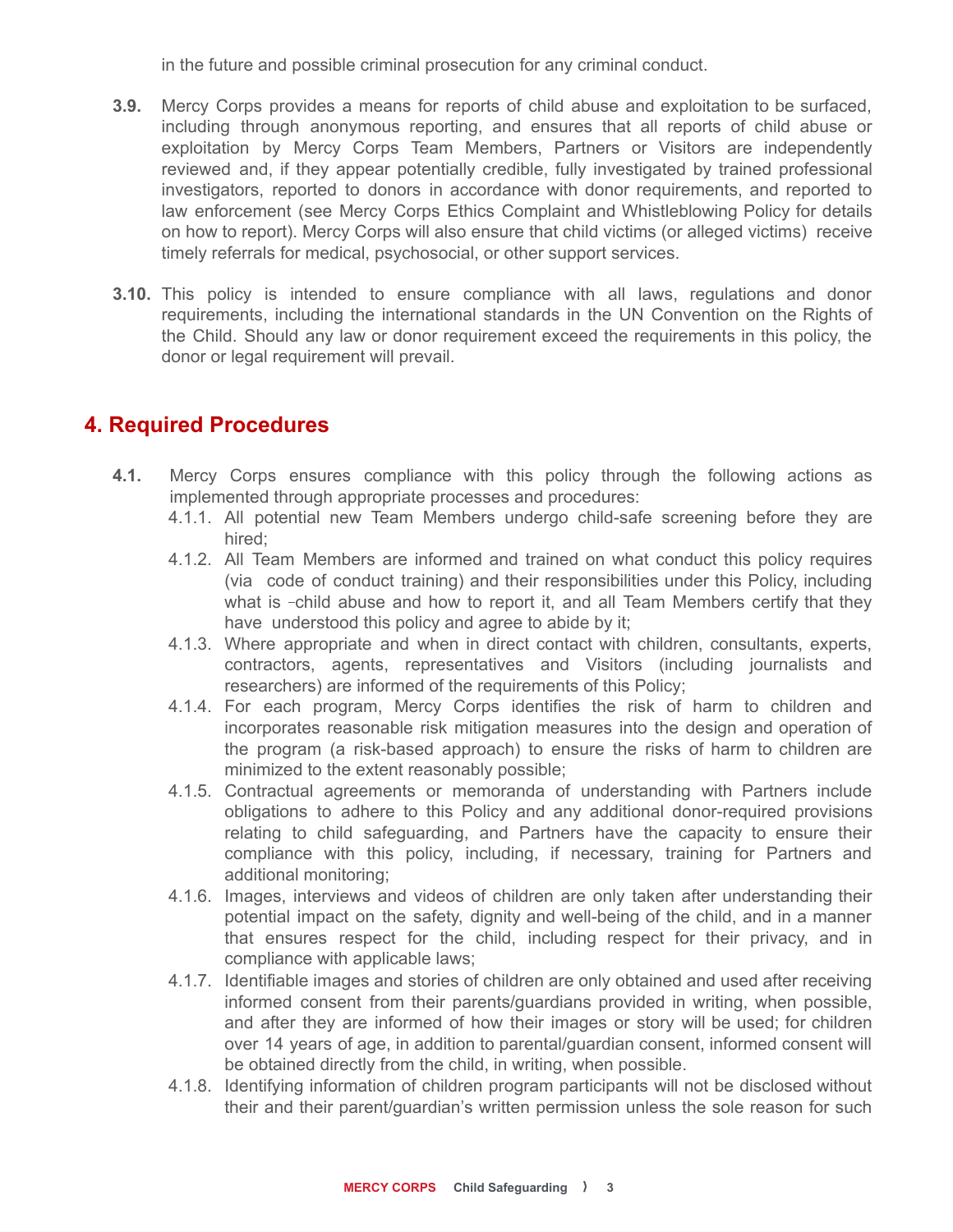in the future and possible criminal prosecution for any criminal conduct.

- **3.9.** Mercy Corps provides a means for reports of child abuse and exploitation to be surfaced, including through anonymous reporting, and ensures that all reports of child abuse or exploitation by Mercy Corps Team Members, Partners or Visitors are independently reviewed and, if they appear potentially credible, fully investigated by trained professional investigators, reported to donors in accordance with donor requirements, and reported to law enforcement (see Mercy Corps Ethics Complaint and Whistleblowing Policy for details on how to report). Mercy Corps will also ensure that child victims (or alleged victims) receive timely referrals for medical, psychosocial, or other support services.
- **3.10.** This policy is intended to ensure compliance with all laws, regulations and donor requirements, including the international standards in the UN Convention on the Rights of the Child. Should any law or donor requirement exceed the requirements in this policy, the donor or legal requirement will prevail.

## **4. Required Procedures**

- **4.1.** Mercy Corps ensures compliance with this policy through the following actions as implemented through appropriate processes and procedures:
	- 4.1.1. All potential new Team Members undergo child-safe screening before they are hired;
	- 4.1.2. All Team Members are informed and trained on what conduct this policy requires (via code of conduct training) and their responsibilities under this Policy, including what is -child abuse and how to report it, and all Team Members certify that they have understood this policy and agree to abide by it;
	- 4.1.3. Where appropriate and when in direct contact with children, consultants, experts, contractors, agents, representatives and Visitors (including journalists and researchers) are informed of the requirements of this Policy;
	- 4.1.4. For each program, Mercy Corps identifies the risk of harm to children and incorporates reasonable risk mitigation measures into the design and operation of the program (a risk-based approach) to ensure the risks of harm to children are minimized to the extent reasonably possible;
	- 4.1.5. Contractual agreements or memoranda of understanding with Partners include obligations to adhere to this Policy and any additional donor-required provisions relating to child safeguarding, and Partners have the capacity to ensure their compliance with this policy, including, if necessary, training for Partners and additional monitoring;
	- 4.1.6. Images, interviews and videos of children are only taken after understanding their potential impact on the safety, dignity and well-being of the child, and in a manner that ensures respect for the child, including respect for their privacy, and in compliance with applicable laws;
	- 4.1.7. Identifiable images and stories of children are only obtained and used after receiving informed consent from their parents/guardians provided in writing, when possible, and after they are informed of how their images or story will be used; for children over 14 years of age, in addition to parental/guardian consent, informed consent will be obtained directly from the child, in writing, when possible.
	- 4.1.8. Identifying information of children program participants will not be disclosed without their and their parent/guardian's written permission unless the sole reason for such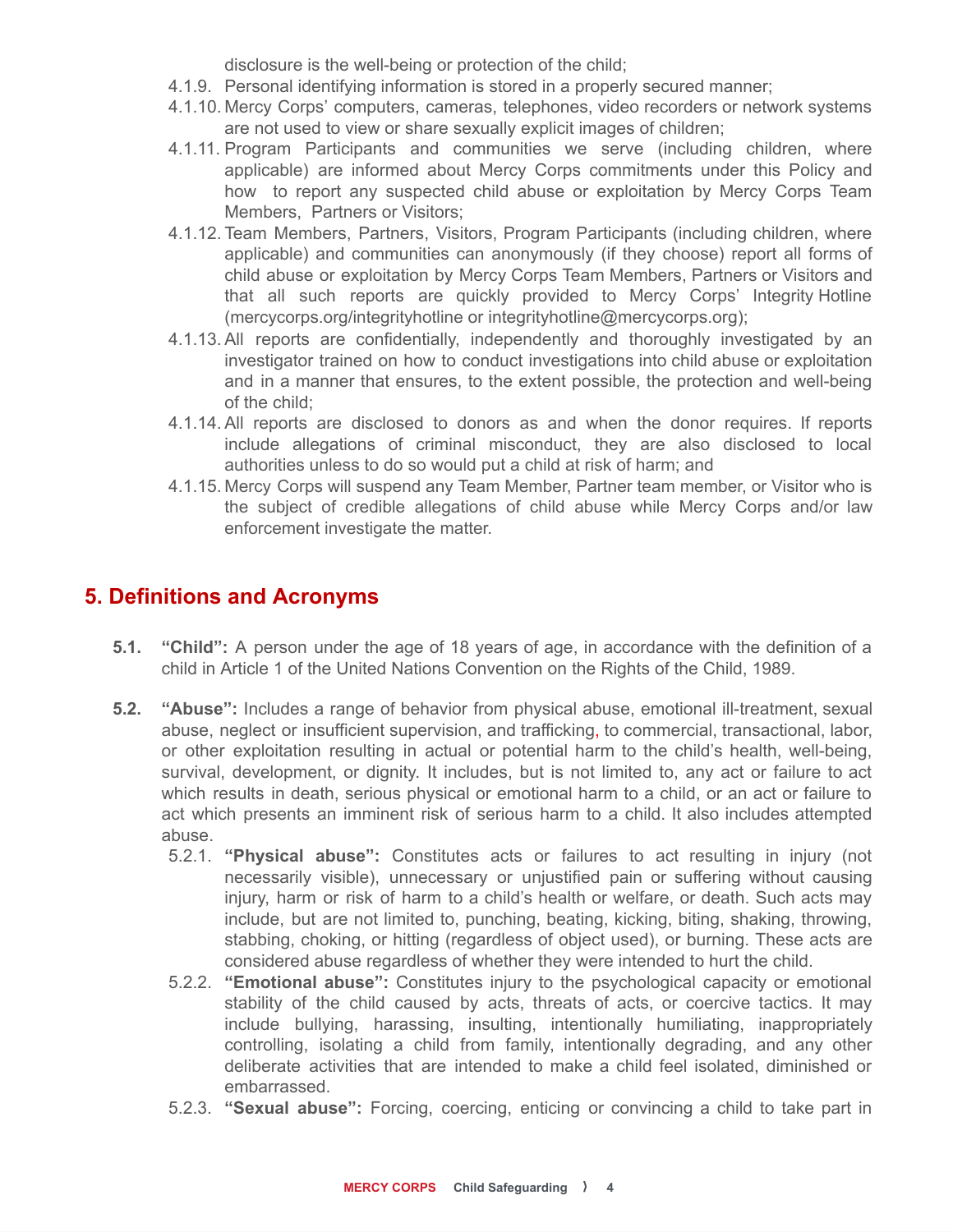disclosure is the well-being or protection of the child;

- 4.1.9. Personal identifying information is stored in a properly secured manner;
- 4.1.10. Mercy Corps' computers, cameras, telephones, video recorders or network systems are not used to view or share sexually explicit images of children;
- 4.1.11. Program Participants and communities we serve (including children, where applicable) are informed about Mercy Corps commitments under this Policy and how to report any suspected child abuse or exploitation by Mercy Corps Team Members, Partners or Visitors;
- 4.1.12. Team Members, Partners, Visitors, Program Participants (including children, where applicable) and communities can anonymously (if they choose) report all forms of child abuse or exploitation by Mercy Corps Team Members, Partners or Visitors and that all such reports are quickly provided to Mercy Corps' Integrity Hotline (mercycorps.org/integrityhotline or integrityhotline@mercycorps.org);
- 4.1.13. All reports are confidentially, independently and thoroughly investigated by an investigator trained on how to conduct investigations into child abuse or exploitation and in a manner that ensures, to the extent possible, the protection and well-being of the child;
- 4.1.14. All reports are disclosed to donors as and when the donor requires. If reports include allegations of criminal misconduct, they are also disclosed to local authorities unless to do so would put a child at risk of harm; and
- 4.1.15. Mercy Corps will suspend any Team Member, Partner team member, or Visitor who is the subject of credible allegations of child abuse while Mercy Corps and/or law enforcement investigate the matter.

## **5. Definitions and Acronyms**

- **5.1. "Child":** A person under the age of 18 years of age, in accordance with the definition of a child in Article 1 of the United Nations Convention on the Rights of the Child, 1989.
- **5.2. "Abuse":** Includes a range of behavior from physical abuse, emotional ill-treatment, sexual abuse, neglect or insufficient supervision, and trafficking, to commercial, transactional, labor, or other exploitation resulting in actual or potential harm to the child's health, well-being, survival, development, or dignity. It includes, but is not limited to, any act or failure to act which results in death, serious physical or emotional harm to a child, or an act or failure to act which presents an imminent risk of serious harm to a child. It also includes attempted abuse.
	- 5.2.1. **"Physical abuse":** Constitutes acts or failures to act resulting in injury (not necessarily visible), unnecessary or unjustified pain or suffering without causing injury, harm or risk of harm to a child's health or welfare, or death. Such acts may include, but are not limited to, punching, beating, kicking, biting, shaking, throwing, stabbing, choking, or hitting (regardless of object used), or burning. These acts are considered abuse regardless of whether they were intended to hurt the child.
	- 5.2.2. **"Emotional abuse":** Constitutes injury to the psychological capacity or emotional stability of the child caused by acts, threats of acts, or coercive tactics. It may include bullying, harassing, insulting, intentionally humiliating, inappropriately controlling, isolating a child from family, intentionally degrading, and any other deliberate activities that are intended to make a child feel isolated, diminished or embarrassed.
	- 5.2.3. **"Sexual abuse":** Forcing, coercing, enticing or convincing a child to take part in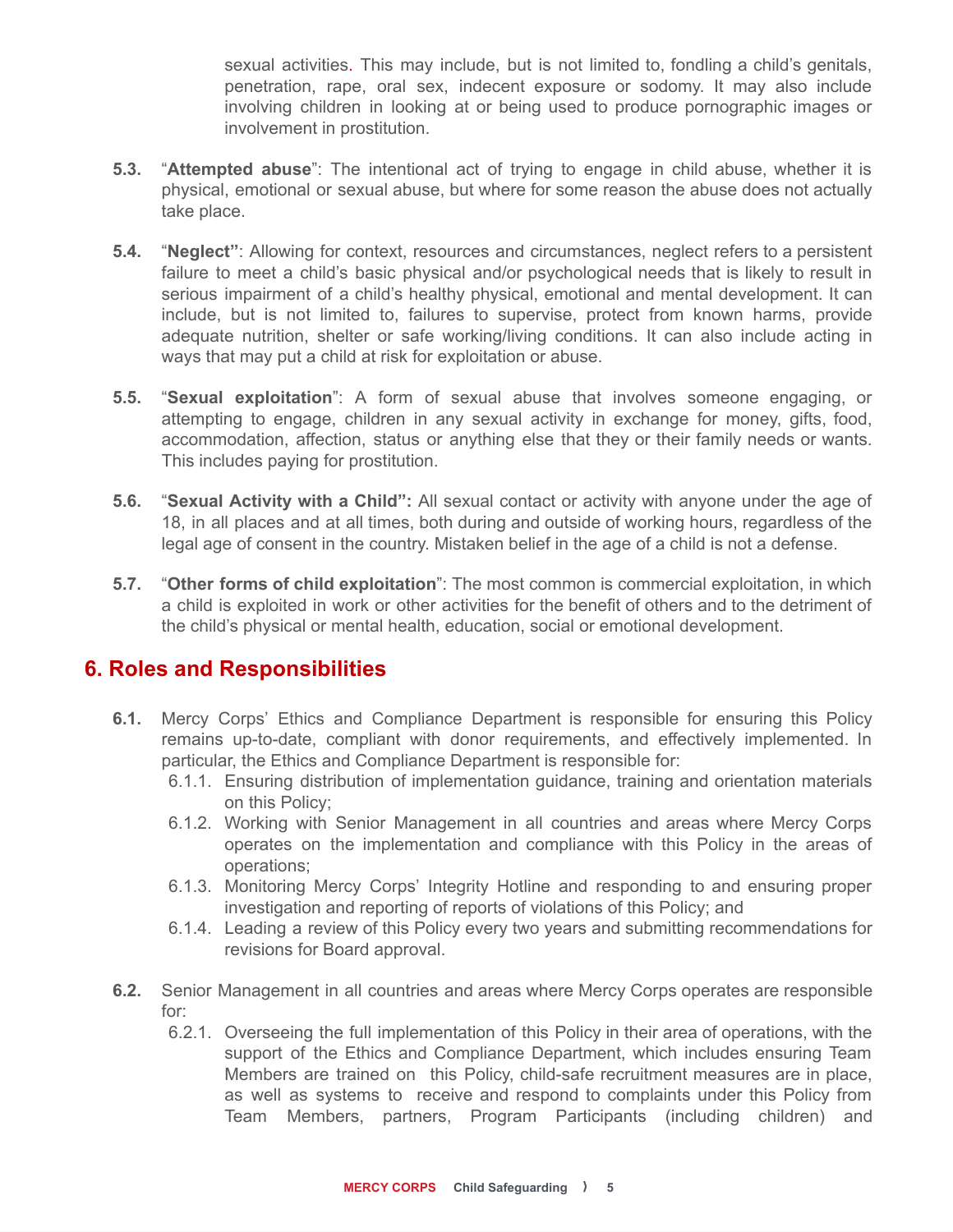sexual activities. This may include, but is not limited to, fondling a child's genitals, penetration, rape, oral sex, indecent exposure or sodomy. It may also include involving children in looking at or being used to produce pornographic images or involvement in prostitution.

- **5.3.** "**Attempted abuse**": The intentional act of trying to engage in child abuse, whether it is physical, emotional or sexual abuse, but where for some reason the abuse does not actually take place.
- **5.4.** "**Neglect"**: Allowing for context, resources and circumstances, neglect refers to a persistent failure to meet a child's basic physical and/or psychological needs that is likely to result in serious impairment of a child's healthy physical, emotional and mental development. It can include, but is not limited to, failures to supervise, protect from known harms, provide adequate nutrition, shelter or safe working/living conditions. It can also include acting in ways that may put a child at risk for exploitation or abuse.
- **5.5.** "**Sexual exploitation**": A form of sexual abuse that involves someone engaging, or attempting to engage, children in any sexual activity in exchange for money, gifts, food, accommodation, affection, status or anything else that they or their family needs or wants. This includes paying for prostitution.
- **5.6.** "**Sexual Activity with a Child":** All sexual contact or activity with anyone under the age of 18, in all places and at all times, both during and outside of working hours, regardless of the legal age of consent in the country. Mistaken belief in the age of a child is not a defense.
- **5.7.** "**Other forms of child exploitation**": The most common is commercial exploitation, in which a child is exploited in work or other activities for the benefit of others and to the detriment of the child's physical or mental health, education, social or emotional development.

#### **6. Roles and Responsibilities**

- **6.1.** Mercy Corps' Ethics and Compliance Department is responsible for ensuring this Policy remains up-to-date, compliant with donor requirements, and effectively implemented. In particular, the Ethics and Compliance Department is responsible for:
	- 6.1.1. Ensuring distribution of implementation guidance, training and orientation materials on this Policy;
	- 6.1.2. Working with Senior Management in all countries and areas where Mercy Corps operates on the implementation and compliance with this Policy in the areas of operations;
	- 6.1.3. Monitoring Mercy Corps' Integrity Hotline and responding to and ensuring proper investigation and reporting of reports of violations of this Policy; and
	- 6.1.4. Leading a review of this Policy every two years and submitting recommendations for revisions for Board approval.
- **6.2.** Senior Management in all countries and areas where Mercy Corps operates are responsible for:
	- 6.2.1. Overseeing the full implementation of this Policy in their area of operations, with the support of the Ethics and Compliance Department, which includes ensuring Team Members are trained on this Policy, child-safe recruitment measures are in place, as well as systems to receive and respond to complaints under this Policy from Team Members, partners, Program Participants (including children) and